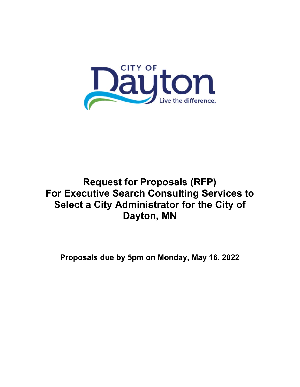

# **Request for Proposals (RFP) For Executive Search Consulting Services to Select a City Administrator for the City of Dayton, MN**

**Proposals due by 5pm on Monday, May 16, 2022**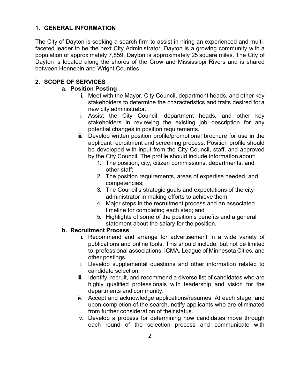#### **1. GENERAL INFORMATION**

The City of Dayton is seeking a search firm to assist in hiring an experienced and multifaceted leader to be the next City Administrator. Dayton is a growing community with a population of approximately 7,859. Dayton is approximately 25 square miles. The City of Dayton is located along the shores of the Crow and Mississippi Rivers and is shared between Hennepin and Wright Counties.

## **2. SCOPE OF SERVICES**

#### **a. Position Posting**

- i. Meet with the Mayor, City Council, department heads, and other key stakeholders to determine the characteristics and traits desired for a new city administrator.
- ii. Assist the City Council, department heads, and other key stakeholders in reviewing the existing job description for any potential changes in position requirements.
- iii. Develop written position profile/promotional brochure for use in the applicant recruitment and screening process. Position profile should be developed with input from the City Council, staff, and approved by the City Council. The profile should include information about:
	- 1. The position, city, citizen commissions, departments, and other staff;
	- 2. The position requirements, areas of expertise needed, and competencies;
	- 3. The Council's strategic goals and expectations of the city administrator in making efforts to achieve them;
	- 4. Major steps in the recruitment process and an associated timeline for completing each step; and
	- 5. Highlights of some of the position's benefits and a general statement about the salary for the position.

#### **b. Recruitment Process**

- i. Recommend and arrange for advertisement in a wide variety of publications and online tools. This should include, but not be limited to, professional associations, ICMA, League of Minnesota Cities, and other postings.
- ii. Develop supplemental questions and other information related to candidate selection.
- iii. Identify, recruit, and recommend a diverse list of candidates who are highly qualified professionals with leadership and vision for the departments and community.
- iv. Accept and acknowledge applications/resumes. At each stage, and upon completion of the search, notify applicants who are eliminated from further consideration of their status.
- v. Develop a process for determining how candidates move through each round of the selection process and communicate with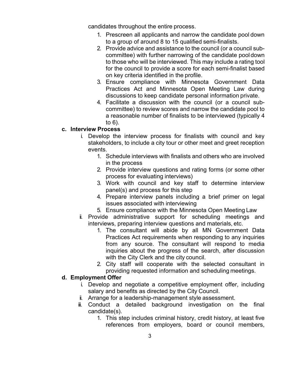candidates throughout the entire process.

- 1. Prescreen all applicants and narrow the candidate pool down to a group of around 8 to 15 qualified semi-finalists.
- 2. Provide advice and assistance to the council (or a council subcommittee) with further narrowing of the candidate pool down to those who will be interviewed. This may include a rating tool for the council to provide a score for each semi-finalist based on key criteria identified in the profile.
- 3. Ensure compliance with Minnesota Government Data Practices Act and Minnesota Open Meeting Law during discussions to keep candidate personal information private.
- 4. Facilitate a discussion with the council (or a council subcommittee) to review scores and narrow the candidate pool to a reasonable number of finalists to be interviewed (typically 4 to 6).

#### **c. Interview Process**

- i. Develop the interview process for finalists with council and key stakeholders, to include a city tour or other meet and greet reception events.
	- 1. Schedule interviews with finalists and others who are involved in the process
	- 2. Provide interview questions and rating forms (or some other process for evaluating interviews)
	- 3. Work with council and key staff to determine interview panel(s) and process for this step
	- 4. Prepare interview panels including a brief primer on legal issues associated with interviewing
	- 5. Ensure compliance with the Minnesota Open Meeting Law
- ii. Provide administrative support for scheduling meetings and interviews, preparing interview questions and materials, etc.
	- 1. The consultant will abide by all MN Government Data Practices Act requirements when responding to any inquiries from any source. The consultant will respond to media inquiries about the progress of the search, after discussion with the City Clerk and the city council.
	- 2. City staff will cooperate with the selected consultant in providing requested information and scheduling meetings.

## **d. Employment Offer**

- i. Develop and negotiate a competitive employment offer, including salary and benefits as directed by the City Council.
- ii. Arrange for a leadership-management style assessment.
- iii. Conduct a detailed background investigation on the final candidate(s).
	- 1. This step includes criminal history, credit history, at least five references from employers, board or council members,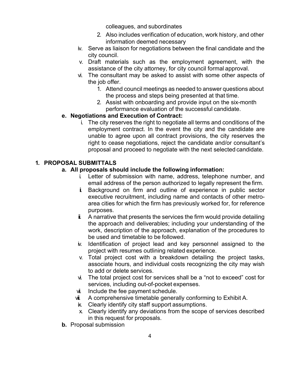colleagues, and subordinates

- 2. Also includes verification of education, work history, and other information deemed necessary
- iv. Serve as liaison for negotiations between the final candidate and the city council.
- v. Draft materials such as the employment agreement, with the assistance of the city attorney, for city council formal approval.
- vi. The consultant may be asked to assist with some other aspects of the job offer.
	- 1. Attend council meetings as needed to answer questions about the process and steps being presented at that time.
	- 2. Assist with onboarding and provide input on the six-month performance evaluation of the successful candidate.

## **e. Negotiations and Execution of Contract:**

i. The city reserves the right to negotiate all terms and conditions of the employment contract. In the event the city and the candidate are unable to agree upon all contract provisions, the city reserves the right to cease negotiations, reject the candidate and/or consultant's proposal and proceed to negotiate with the next selected candidate.

## **1. PROPOSAL SUBMITTALS**

## **a. All proposals should include the following information:**

- i. Letter of submission with name, address, telephone number, and email address of the person authorized to legally represent the firm.
- ii. Background on firm and outline of experience in public sector executive recruitment, including name and contacts of other metroarea cities for which the firm has previously worked for, for reference purposes.
- $\ddot{\mathbf{i}}$ . A narrative that presents the services the firm would provide detailing the approach and deliverables; including your understanding of the work, description of the approach, explanation of the procedures to be used and timetable to be followed.
- iv. Identification of project lead and key personnel assigned to the project with resumes outlining related experience.
- v. Total project cost with a breakdown detailing the project tasks, associate hours, and individual costs recognizing the city may wish to add or delete services.
- vi. The total project cost for services shall be a "not to exceed" cost for services, including out-of-pocket expenses.
- vi. Include the fee payment schedule.
- vii. A comprehensive timetable generally conforming to Exhibit A.
- ix. Clearly identify city staff support assumptions.
- x. Clearly identify any deviations from the scope of services described in this request for proposals.
- **b.** Proposal submission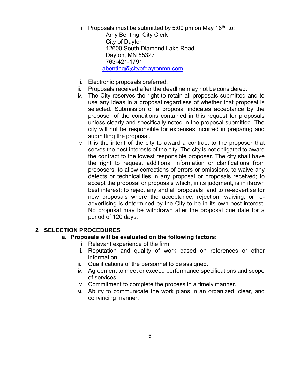i. Proposals must be submitted by 5:00 pm on May 16<sup>th</sup> to:

Amy Benting, City Clerk City of Dayton 12600 South Diamond Lake Road Dayton, MN 55327 763-421-1791 abenting@cityofdaytonmn.com

- ii. Electronic proposals preferred.
- $\ddot{\mathbf{i}}$ . Proposals received after the deadline may not be considered.
- iv. The City reserves the right to retain all proposals submitted and to use any ideas in a proposal regardless of whether that proposal is selected. Submission of a proposal indicates acceptance by the proposer of the conditions contained in this request for proposals unless clearly and specifically noted in the proposal submitted. The city will not be responsible for expenses incurred in preparing and submitting the proposal.
- v. It is the intent of the city to award a contract to the proposer that serves the best interests of the city. The city is not obligated to award the contract to the lowest responsible proposer. The city shall have the right to request additional information or clarifications from proposers, to allow corrections of errors or omissions, to waive any defects or technicalities in any proposal or proposals received; to accept the proposal or proposals which, in its judgment, is in its own best interest; to reject any and all proposals; and to re-advertise for new proposals where the acceptance, rejection, waiving, or readvertising is determined by the City to be in its own best interest. No proposal may be withdrawn after the proposal due date for a period of 120 days.

#### **2. SELECTION PROCEDURES**

#### **a. Proposals will be evaluated on the following factors:**

- i. Relevant experience of the firm.
- ii. Reputation and quality of work based on references or other information.
- $\ddot{\mathbf{i}}$ . Qualifications of the personnel to be assigned.
- iv. Agreement to meet or exceed performance specifications and scope of services.
- v. Commitment to complete the process in a timely manner.
- vi. Ability to communicate the work plans in an organized, clear, and convincing manner.